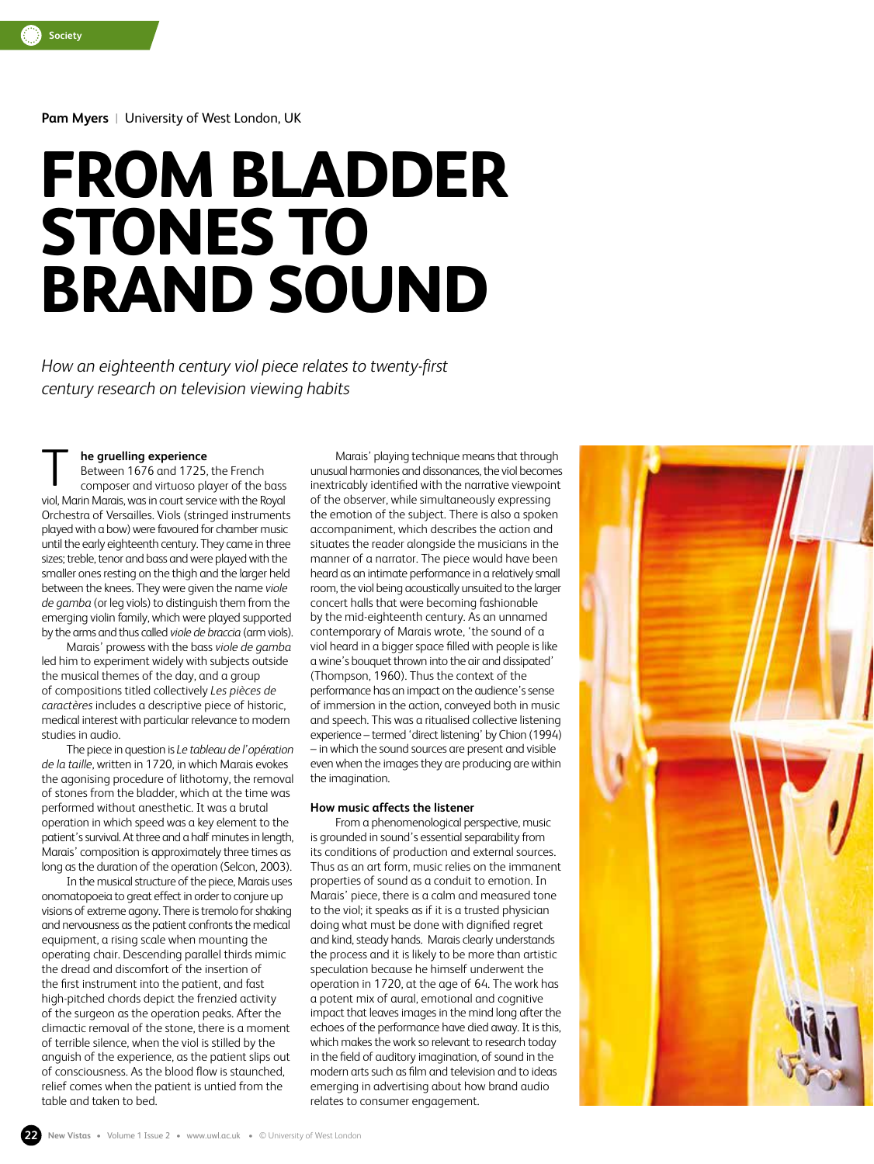**Pam Myers** |University of West London, UK

# **FROM BLADDER STONES TO BRAND SOUND**

*How an eighteenth century viol piece relates to twenty-first century research on television viewing habits*

# **he gruelling experience**

Between 1676 and 1725, the French composer and virtuoso player of the bass viol, Marin Marais, was in court service with the Royal Orchestra of Versailles. Viols (stringed instruments played with a bow) were favoured for chamber music until the early eighteenth century. They came in three sizes; treble, tenor and bass and were played with the smaller ones resting on the thigh and the larger held between the knees. They were given the name *viole de gamba* (or leg viols) to distinguish them from the emerging violin family, which were played supported by the arms and thus called *viole de braccia* (arm viols). T

Marais' prowess with the bass *viole de gamba*  led him to experiment widely with subjects outside the musical themes of the day, and a group of compositions titled collectively *Les pièces de caractères* includes a descriptive piece of historic, medical interest with particular relevance to modern studies in audio.

The piece in question is *Le tableau de l'opération de la taille*, written in 1720, in which Marais evokes the agonising procedure of lithotomy, the removal of stones from the bladder, which at the time was performed without anesthetic. It was a brutal operation in which speed was a key element to the patient's survival. At three and a half minutes in length, Marais' composition is approximately three times as long as the duration of the operation (Selcon, 2003).

In the musical structure of the piece, Marais uses onomatopoeia to great effect in order to conjure up visions of extreme agony. There is tremolo for shaking and nervousness as the patient confronts the medical equipment, a rising scale when mounting the operating chair. Descending parallel thirds mimic the dread and discomfort of the insertion of the first instrument into the patient, and fast high-pitched chords depict the frenzied activity of the surgeon as the operation peaks. After the climactic removal of the stone, there is a moment of terrible silence, when the viol is stilled by the anguish of the experience, as the patient slips out of consciousness. As the blood flow is staunched, relief comes when the patient is untied from the table and taken to bed.

Marais' playing technique means that through unusual harmonies and dissonances, the viol becomes inextricably identified with the narrative viewpoint of the observer, while simultaneously expressing the emotion of the subject. There is also a spoken accompaniment, which describes the action and situates the reader alongside the musicians in the manner of a narrator. The piece would have been heard as an intimate performance in a relatively small room, the viol being acoustically unsuited to the larger concert halls that were becoming fashionable by the mid-eighteenth century. As an unnamed contemporary of Marais wrote, 'the sound of a viol heard in a bigger space filled with people is like a wine's bouquet thrown into the air and dissipated' (Thompson, 1960). Thus the context of the performance has an impact on the audience's sense of immersion in the action, conveyed both in music and speech. This was a ritualised collective listening experience – termed 'direct listening' by Chion (1994) – in which the sound sources are present and visible even when the images they are producing are within the imagination.

# **How music affects the listener**

From a phenomenological perspective, music is grounded in sound's essential separability from its conditions of production and external sources. Thus as an art form, music relies on the immanent properties of sound as a conduit to emotion. In Marais' piece, there is a calm and measured tone to the viol; it speaks as if it is a trusted physician doing what must be done with dignified regret and kind, steady hands. Marais clearly understands the process and it is likely to be more than artistic speculation because he himself underwent the operation in 1720, at the age of 64. The work has a potent mix of aural, emotional and cognitive impact that leaves images in the mind long after the echoes of the performance have died away. It is this, which makes the work so relevant to research today in the field of auditory imagination, of sound in the modern arts such as film and television and to ideas emerging in advertising about how brand audio relates to consumer engagement.

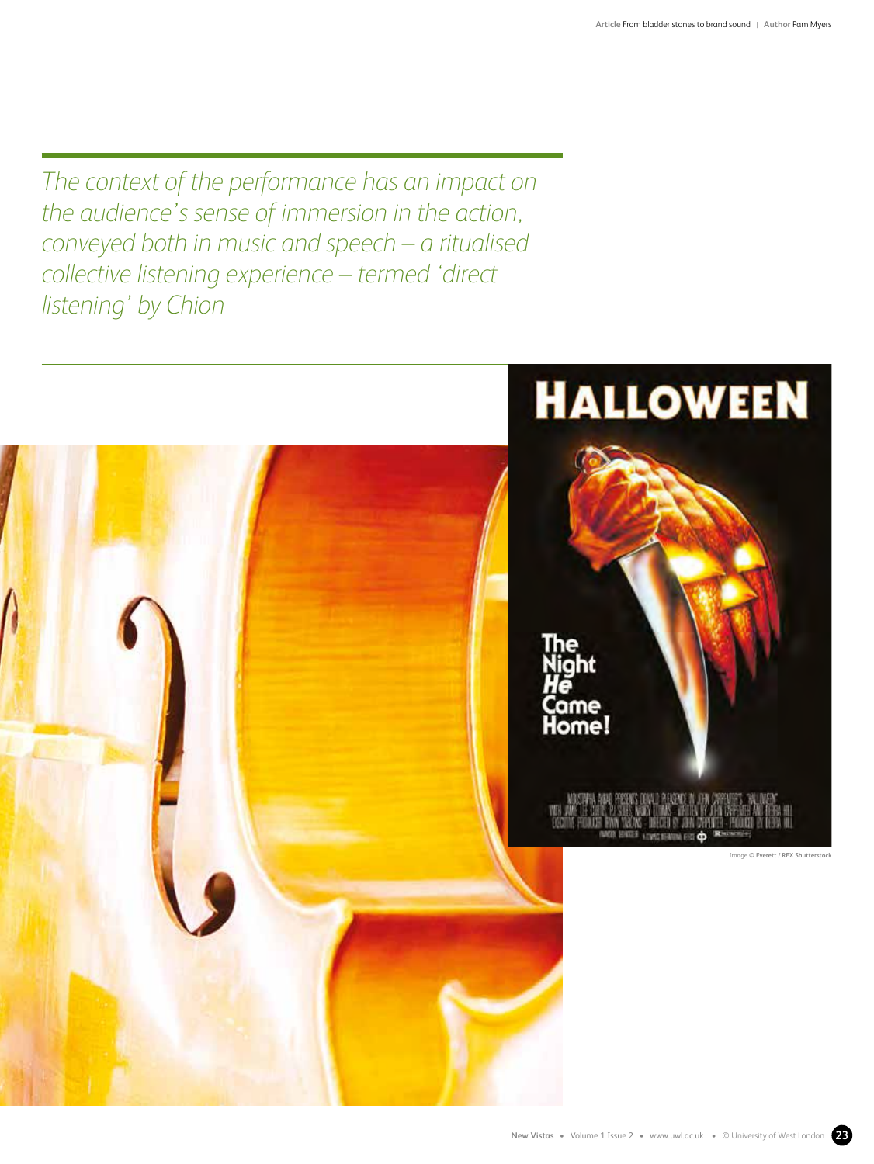*The context of the performance has an impact on the audience's sense of immersion in the action, conveyed both in music and speech – a ritualised collective listening experience – termed 'direct listening' by Chion*

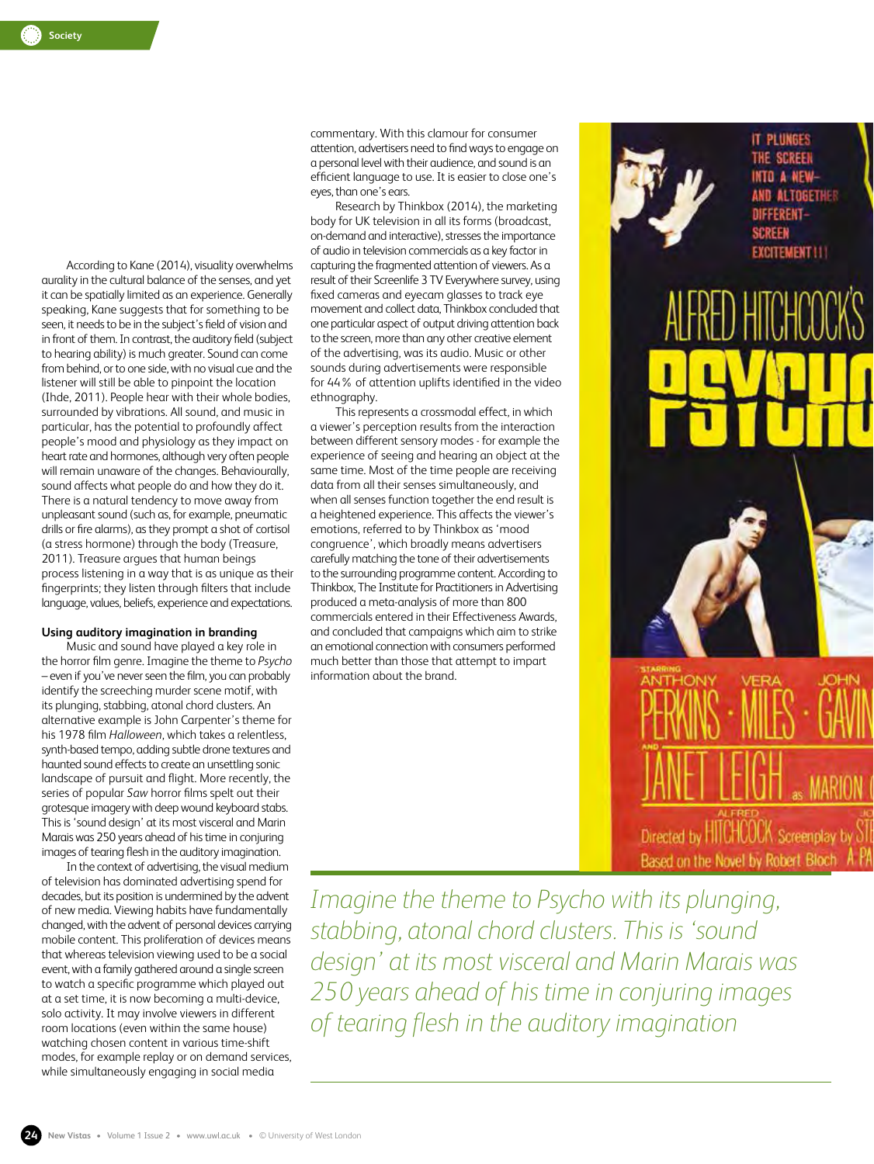According to Kane (2014), visuality overwhelms aurality in the cultural balance of the senses, and yet it can be spatially limited as an experience. Generally speaking, Kane suggests that for something to be seen, it needs to be in the subject's field of vision and in front of them. In contrast, the auditory field (subject to hearing ability) is much greater. Sound can come from behind, or to one side, with no visual cue and the listener will still be able to pinpoint the location (Ihde, 2011). People hear with their whole bodies, surrounded by vibrations. All sound, and music in particular, has the potential to profoundly affect people's mood and physiology as they impact on heart rate and hormones, although very often people will remain unaware of the changes. Behaviourally, sound affects what people do and how they do it. There is a natural tendency to move away from unpleasant sound (such as, for example, pneumatic drills or fire alarms), as they prompt a shot of cortisol (a stress hormone) through the body (Treasure, 2011). Treasure argues that human beings process listening in a way that is as unique as their fingerprints; they listen through filters that include language, values, beliefs, experience and expectations.

# **Using auditory imagination in branding**

Music and sound have played a key role in the horror film genre. Imagine the theme to *Psycho* – even if you've never seen the film, you can probably identify the screeching murder scene motif, with its plunging, stabbing, atonal chord clusters. An alternative example is John Carpenter's theme for his 1978 film *Halloween*, which takes a relentless, synth-based tempo, adding subtle drone textures and haunted sound effects to create an unsettling sonic landscape of pursuit and flight. More recently, the series of popular *Saw* horror films spelt out their grotesque imagery with deep wound keyboard stabs. This is 'sound design' at its most visceral and Marin Marais was 250 years ahead of his time in conjuring images of tearing flesh in the auditory imagination.

In the context of advertising, the visual medium of television has dominated advertising spend for decades, but its position is undermined by the advent of new media. Viewing habits have fundamentally changed, with the advent of personal devices carrying mobile content. This proliferation of devices means that whereas television viewing used to be a social event, with a family gathered around a single screen to watch a specific programme which played out at a set time, it is now becoming a multi-device, solo activity. It may involve viewers in different room locations (even within the same house) watching chosen content in various time-shift modes, for example replay or on demand services, while simultaneously engaging in social media

commentary. With this clamour for consumer attention, advertisers need to find ways to engage on a personal level with their audience, and sound is an efficient language to use. It is easier to close one's eyes, than one's ears.

Research by Thinkbox (2014), the marketing body for UK television in all its forms (broadcast, on-demand and interactive), stresses the importance of audio in television commercials as a key factor in capturing the fragmented attention of viewers. As a result of their Screenlife 3 TV Everywhere survey, using fixed cameras and eyecam glasses to track eye movement and collect data, Thinkbox concluded that one particular aspect of output driving attention back to the screen, more than any other creative element of the advertising, was its audio. Music or other sounds during advertisements were responsible for 44% of attention uplifts identified in the video ethnography.

This represents a crossmodal effect, in which a viewer's perception results from the interaction between different sensory modes - for example the experience of seeing and hearing an object at the same time. Most of the time people are receiving data from all their senses simultaneously, and when all senses function together the end result is a heightened experience. This affects the viewer's emotions, referred to by Thinkbox as 'mood congruence', which broadly means advertisers carefully matching the tone of their advertisements to the surrounding programme content. According to Thinkbox, The Institute for Practitioners in Advertising produced a meta-analysis of more than 800 commercials entered in their Effectiveness Awards, and concluded that campaigns which aim to strike an emotional connection with consumers performed much better than those that attempt to impart information about the brand.



*Imagine the theme to Psycho with its plunging, stabbing, atonal chord clusters. This is 'sound design' at its most visceral and Marin Marais was 250 years ahead of his time in conjuring images of tearing flesh in the auditory imagination*